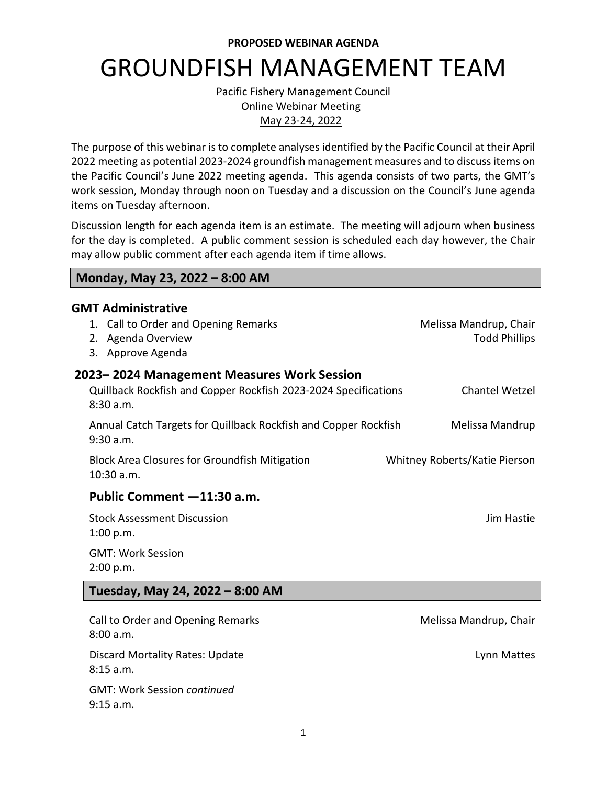**PROPOSED WEBINAR AGENDA**

# GROUNDFISH MANAGEMENT TEAM

Pacific Fishery Management Council Online Webinar Meeting May 23-24, 2022

The purpose of this webinar is to complete analyses identified by the Pacific Council at their April 2022 meeting as potential 2023-2024 groundfish management measures and to discuss items on the Pacific Council's June 2022 meeting agenda. This agenda consists of two parts, the GMT's work session, Monday through noon on Tuesday and a discussion on the Council's June agenda items on Tuesday afternoon.

Discussion length for each agenda item is an estimate. The meeting will adjourn when business for the day is completed. A public comment session is scheduled each day however, the Chair may allow public comment after each agenda item if time allows.

#### **Monday, May 23, 2022 – 8:00 AM**

9:15 a.m.

| <b>GMT Administrative</b><br>1. Call to Order and Opening Remarks<br>2. Agenda Overview<br>3. Approve Agenda              | Melissa Mandrup, Chair<br><b>Todd Phillips</b> |
|---------------------------------------------------------------------------------------------------------------------------|------------------------------------------------|
| 2023-2024 Management Measures Work Session<br>Quillback Rockfish and Copper Rockfish 2023-2024 Specifications<br>8:30a.m. | Chantel Wetzel                                 |
| Annual Catch Targets for Quillback Rockfish and Copper Rockfish<br>9:30 a.m.                                              | Melissa Mandrup                                |
| <b>Block Area Closures for Groundfish Mitigation</b><br>10:30 a.m.                                                        | Whitney Roberts/Katie Pierson                  |
| Public Comment -11:30 a.m.                                                                                                |                                                |
| <b>Stock Assessment Discussion</b><br>1:00 p.m.                                                                           | Jim Hastie                                     |
| <b>GMT: Work Session</b><br>2:00 p.m.                                                                                     |                                                |
| Tuesday, May 24, 2022 - 8:00 AM                                                                                           |                                                |
| Call to Order and Opening Remarks<br>8:00 a.m.                                                                            | Melissa Mandrup, Chair                         |
| <b>Discard Mortality Rates: Update</b><br>8:15 a.m.                                                                       | Lynn Mattes                                    |
| <b>GMT: Work Session continued</b>                                                                                        |                                                |